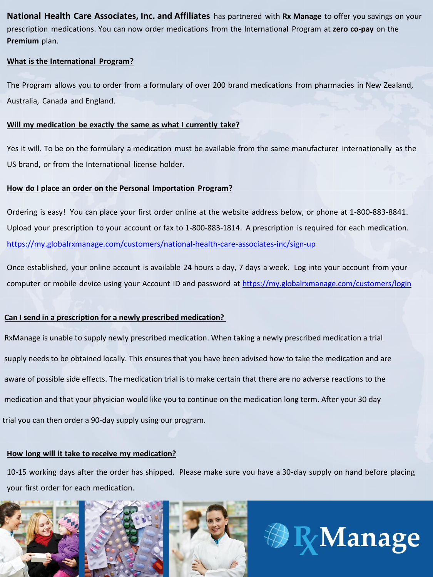**National Health Care Associates, Inc. and Affiliates** has partnered with **Rx Manage** to offer you savings on your prescription medications. You can now order medications from the International Program at **zero co-pay** on the **Premium** plan.

#### **What is the International Program?**

The Program allows you to order from a formulary of over 200 brand medications from pharmacies in New Zealand, Australia, Canada and England.

### **Will my medication be exactly the same as what I currently take?**

Yes it will. To be on the formulary a medication must be available from the same manufacturer internationally as the US brand, or from the International license holder.

## **How do I place an order on the Personal Importation Program?**

Ordering is easy! You can place your first order online at the website address below, or phone at 1-800-883-8841. Upload your prescription to your account or fax to 1-800-883-1814. A prescription is required for each medication. https://my.globalrxmanage.com/customers/national-health-care-associates-inc/sign-up

Once established, your online account is available 24 hours a day, 7 days a week. Log into your account from your computer or mobile device using your Account ID and password at https://my.globalrxmanage.com/customers/login

# **Can I send in a prescription for a newly prescribed medication?**

RxManage is unable to supply newly prescribed medication. When taking a newly prescribed medication a trial supply needs to be obtained locally. This ensures that you have been advised how to take the medication and are aware of possible side effects. The medication trial is to make certain that there are no adverse reactions to the medication and that your physician would like you to continue on the medication long term. After your 30 day trial you can then order a 90-day supply using our program.

### **How long will it take to receive my medication?**

10-15 working days after the order has shipped. Please make sure you have a 30-day supply on hand before placing your first order for each medication.